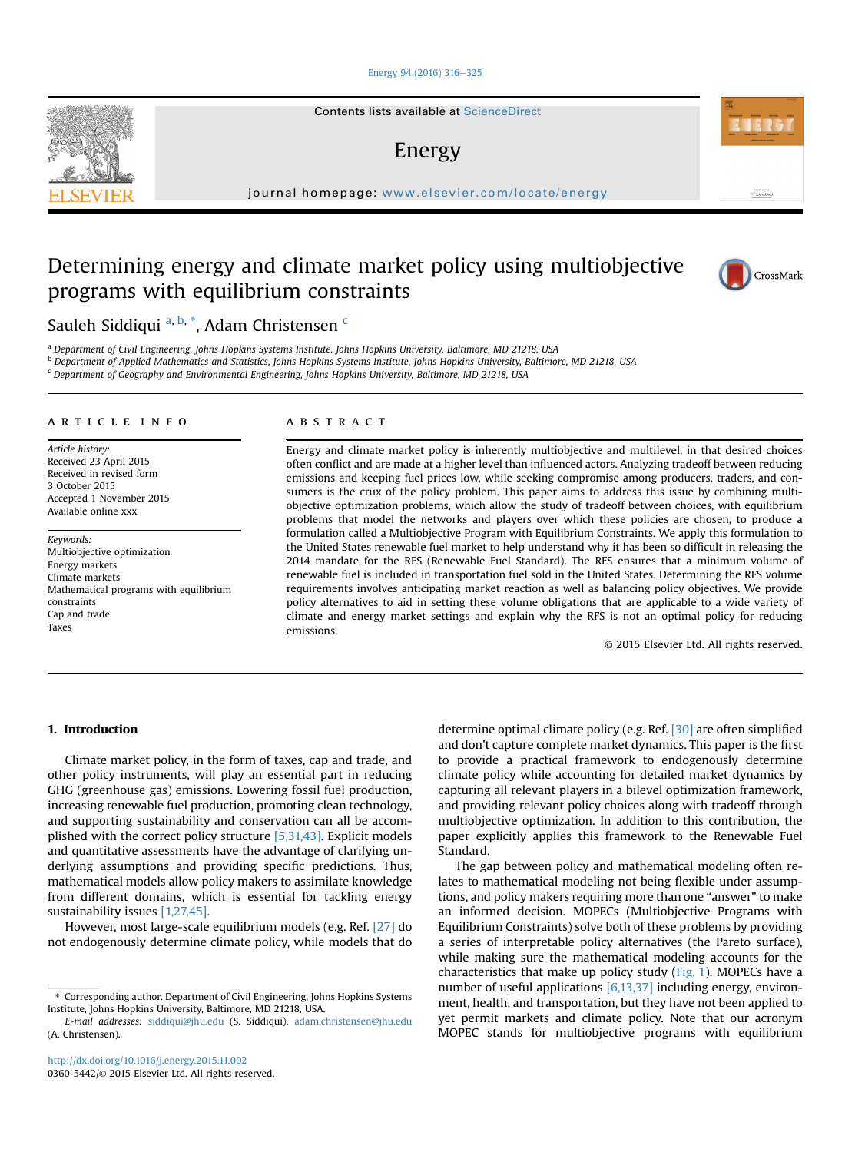## [Energy 94 \(2016\) 316](http://dx.doi.org/10.1016/j.energy.2015.11.002)-[325](http://dx.doi.org/10.1016/j.energy.2015.11.002)

Contents lists available at ScienceDirect

# Energy

journal homepage: [www.elsevier.com/locate/energy](http://www.elsevier.com/locate/energy)

# Determining energy and climate market policy using multiobjective programs with equilibrium constraints



Automotive at<br>ScienceDire

Sauleh Siddiqui <sup>a, b, \*</sup>, Adam Christensen <sup>c</sup>

a Department of Civil Engineering, Johns Hopkins Systems Institute, Johns Hopkins University, Baltimore, MD 21218, USA

**b** Department of Applied Mathematics and Statistics, Johns Hopkins Systems Institute, Johns Hopkins University, Baltimore, MD 21218, USA

<sup>c</sup> Department of Geography and Environmental Engineering, Johns Hopkins University, Baltimore, MD 21218, USA

#### article info

Article history: Received 23 April 2015 Received in revised form 3 October 2015 Accepted 1 November 2015 Available online xxx

Keywords: Multiobjective optimization Energy markets Climate markets Mathematical programs with equilibrium constraints Cap and trade Taxes

#### **ABSTRACT**

Energy and climate market policy is inherently multiobjective and multilevel, in that desired choices often conflict and are made at a higher level than influenced actors. Analyzing tradeoff between reducing emissions and keeping fuel prices low, while seeking compromise among producers, traders, and consumers is the crux of the policy problem. This paper aims to address this issue by combining multiobjective optimization problems, which allow the study of tradeoff between choices, with equilibrium problems that model the networks and players over which these policies are chosen, to produce a formulation called a Multiobjective Program with Equilibrium Constraints. We apply this formulation to the United States renewable fuel market to help understand why it has been so difficult in releasing the 2014 mandate for the RFS (Renewable Fuel Standard). The RFS ensures that a minimum volume of renewable fuel is included in transportation fuel sold in the United States. Determining the RFS volume requirements involves anticipating market reaction as well as balancing policy objectives. We provide policy alternatives to aid in setting these volume obligations that are applicable to a wide variety of climate and energy market settings and explain why the RFS is not an optimal policy for reducing emissions.

© 2015 Elsevier Ltd. All rights reserved.

# 1. Introduction

Climate market policy, in the form of taxes, cap and trade, and other policy instruments, will play an essential part in reducing GHG (greenhouse gas) emissions. Lowering fossil fuel production, increasing renewable fuel production, promoting clean technology, and supporting sustainability and conservation can all be accomplished with the correct policy structure [\[5,31,43\]](#page-9-0). Explicit models and quantitative assessments have the advantage of clarifying underlying assumptions and providing specific predictions. Thus, mathematical models allow policy makers to assimilate knowledge from different domains, which is essential for tackling energy sustainability issues [\[1,27,45\].](#page-9-0)

However, most large-scale equilibrium models (e.g. Ref. [\[27\]](#page-9-0) do not endogenously determine climate policy, while models that do determine optimal climate policy (e.g. Ref. [\[30\]](#page-9-0) are often simplified and don't capture complete market dynamics. This paper is the first to provide a practical framework to endogenously determine climate policy while accounting for detailed market dynamics by capturing all relevant players in a bilevel optimization framework, and providing relevant policy choices along with tradeoff through multiobjective optimization. In addition to this contribution, the paper explicitly applies this framework to the Renewable Fuel Standard.

The gap between policy and mathematical modeling often relates to mathematical modeling not being flexible under assumptions, and policy makers requiring more than one "answer" to make an informed decision. MOPECs (Multiobjective Programs with Equilibrium Constraints) solve both of these problems by providing a series of interpretable policy alternatives (the Pareto surface), while making sure the mathematical modeling accounts for the characteristics that make up policy study ([Fig. 1\)](#page-1-0). MOPECs have a number of useful applications [\[6,13,37\]](#page-9-0) including energy, environment, health, and transportation, but they have not been applied to yet permit markets and climate policy. Note that our acronym MOPEC stands for multiobjective programs with equilibrium



<sup>\*</sup> Corresponding author. Department of Civil Engineering, Johns Hopkins Systems Institute, Johns Hopkins University, Baltimore, MD 21218, USA.

E-mail addresses: [siddiqui@jhu.edu](mailto:siddiqui@jhu.edu) (S. Siddiqui), [adam.christensen@jhu.edu](mailto:adam.christensen@jhu.edu) (A. Christensen).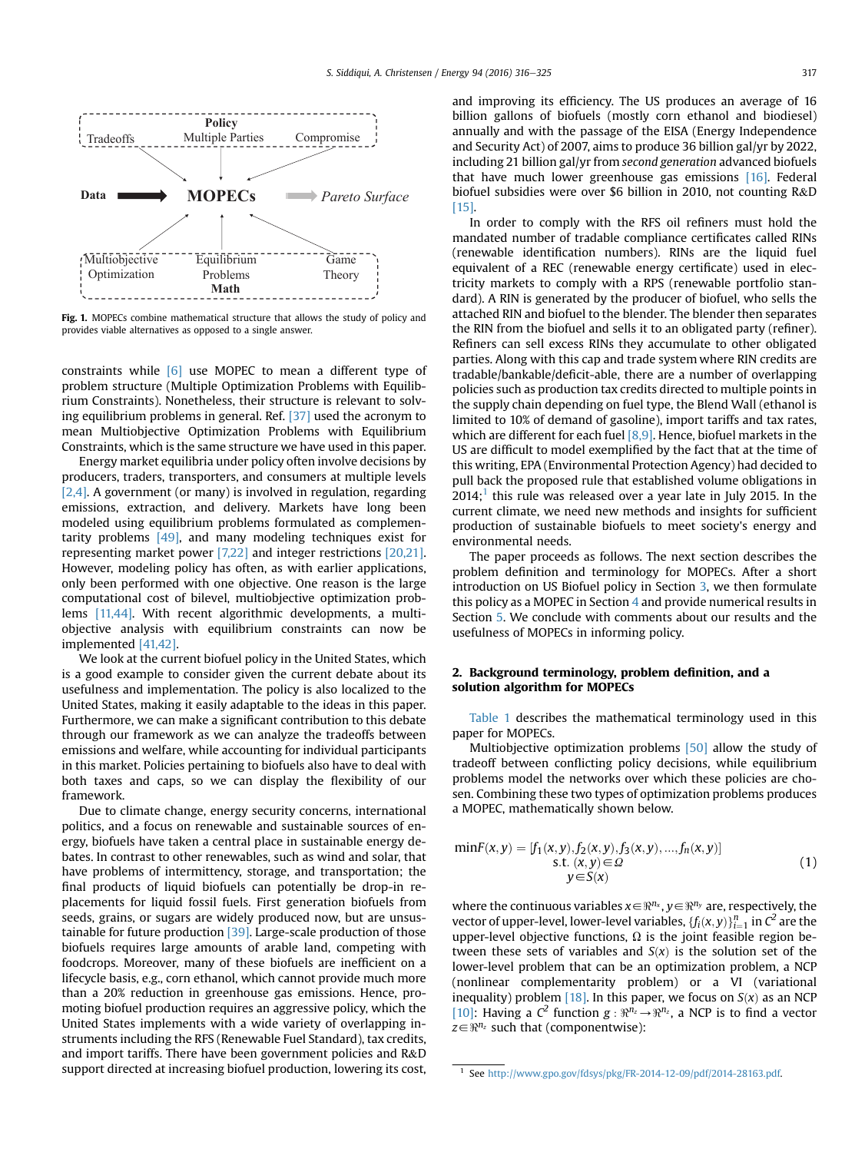<span id="page-1-0"></span>

Fig. 1. MOPECs combine mathematical structure that allows the study of policy and provides viable alternatives as opposed to a single answer.

constraints while [\[6\]](#page-9-0) use MOPEC to mean a different type of problem structure (Multiple Optimization Problems with Equilibrium Constraints). Nonetheless, their structure is relevant to solving equilibrium problems in general. Ref. [\[37\]](#page-9-0) used the acronym to mean Multiobjective Optimization Problems with Equilibrium Constraints, which is the same structure we have used in this paper.

Energy market equilibria under policy often involve decisions by producers, traders, transporters, and consumers at multiple levels [\[2,4\].](#page-9-0) A government (or many) is involved in regulation, regarding emissions, extraction, and delivery. Markets have long been modeled using equilibrium problems formulated as complementarity problems [\[49\]](#page-9-0), and many modeling techniques exist for representing market power [\[7,22\]](#page-9-0) and integer restrictions [\[20,21\].](#page-9-0) However, modeling policy has often, as with earlier applications, only been performed with one objective. One reason is the large computational cost of bilevel, multiobjective optimization problems [\[11,44\].](#page-9-0) With recent algorithmic developments, a multiobjective analysis with equilibrium constraints can now be implemented [\[41,42\]](#page-9-0).

We look at the current biofuel policy in the United States, which is a good example to consider given the current debate about its usefulness and implementation. The policy is also localized to the United States, making it easily adaptable to the ideas in this paper. Furthermore, we can make a significant contribution to this debate through our framework as we can analyze the tradeoffs between emissions and welfare, while accounting for individual participants in this market. Policies pertaining to biofuels also have to deal with both taxes and caps, so we can display the flexibility of our framework.

Due to climate change, energy security concerns, international politics, and a focus on renewable and sustainable sources of energy, biofuels have taken a central place in sustainable energy debates. In contrast to other renewables, such as wind and solar, that have problems of intermittency, storage, and transportation; the final products of liquid biofuels can potentially be drop-in replacements for liquid fossil fuels. First generation biofuels from seeds, grains, or sugars are widely produced now, but are unsustainable for future production [\[39\].](#page-9-0) Large-scale production of those biofuels requires large amounts of arable land, competing with foodcrops. Moreover, many of these biofuels are inefficient on a lifecycle basis, e.g., corn ethanol, which cannot provide much more than a 20% reduction in greenhouse gas emissions. Hence, promoting biofuel production requires an aggressive policy, which the United States implements with a wide variety of overlapping instruments including the RFS (Renewable Fuel Standard), tax credits, and import tariffs. There have been government policies and R&D support directed at increasing biofuel production, lowering its cost, and improving its efficiency. The US produces an average of 16 billion gallons of biofuels (mostly corn ethanol and biodiesel) annually and with the passage of the EISA (Energy Independence and Security Act) of 2007, aims to produce 36 billion gal/yr by 2022, including 21 billion gal/yr from second generation advanced biofuels that have much lower greenhouse gas emissions [\[16\]](#page-9-0). Federal biofuel subsidies were over \$6 billion in 2010, not counting R&D [\[15\]](#page-9-0).

In order to comply with the RFS oil refiners must hold the mandated number of tradable compliance certificates called RINs (renewable identification numbers). RINs are the liquid fuel equivalent of a REC (renewable energy certificate) used in electricity markets to comply with a RPS (renewable portfolio standard). A RIN is generated by the producer of biofuel, who sells the attached RIN and biofuel to the blender. The blender then separates the RIN from the biofuel and sells it to an obligated party (refiner). Refiners can sell excess RINs they accumulate to other obligated parties. Along with this cap and trade system where RIN credits are tradable/bankable/deficit-able, there are a number of overlapping policies such as production tax credits directed to multiple points in the supply chain depending on fuel type, the Blend Wall (ethanol is limited to 10% of demand of gasoline), import tariffs and tax rates, which are different for each fuel  $[8,9]$ . Hence, biofuel markets in the US are difficult to model exemplified by the fact that at the time of this writing, EPA (Environmental Protection Agency) had decided to pull back the proposed rule that established volume obligations in  $2014$ ;<sup>1</sup> this rule was released over a year late in July 2015. In the current climate, we need new methods and insights for sufficient production of sustainable biofuels to meet society's energy and environmental needs.

The paper proceeds as follows. The next section describes the problem definition and terminology for MOPECs. After a short introduction on US Biofuel policy in Section [3,](#page-3-0) we then formulate this policy as a MOPEC in Section [4](#page-3-0) and provide numerical results in Section [5.](#page-4-0) We conclude with comments about our results and the usefulness of MOPECs in informing policy.

# 2. Background terminology, problem definition, and a solution algorithm for MOPECs

[Table 1](#page-2-0) describes the mathematical terminology used in this paper for MOPECs.

Multiobjective optimization problems [\[50\]](#page-9-0) allow the study of tradeoff between conflicting policy decisions, while equilibrium problems model the networks over which these policies are chosen. Combining these two types of optimization problems produces a MOPEC, mathematically shown below.

$$
\min F(x, y) = [f_1(x, y), f_2(x, y), f_3(x, y), ..., f_n(x, y)]
$$
  
s.t. (x, y) \in \mathcal{Q}  
y \in S(x) (1)

where the continuous variables  $x \in \mathbb{R}^{n_x}$ ,  $y \in \mathbb{R}^{n_y}$  are, respectively, the vector of upper-level, lower-level variables,  $\{f_i(x, y)\}_{i=1}^n$  in  $C^2$  are the upper-level objective functions. O is the joint feasible region beupper-level objective functions,  $\Omega$  is the joint feasible region between these sets of variables and  $S(x)$  is the solution set of the lower-level problem that can be an optimization problem, a NCP (nonlinear complementarity problem) or a VI (variational inequality) problem [\[18\].](#page-9-0) In this paper, we focus on  $S(x)$  as an NCP [\[10\]](#page-9-0): Having a  $C^2$  function  $g : \Re^{n_z} \to \Re^{n_z}$ , a NCP is to find a vector  $z \in \Re^{n_z}$  such that (componentwise):

<sup>1</sup> See <http://www.gpo.gov/fdsys/pkg/FR-2014-12-09/pdf/2014-28163.pdf>.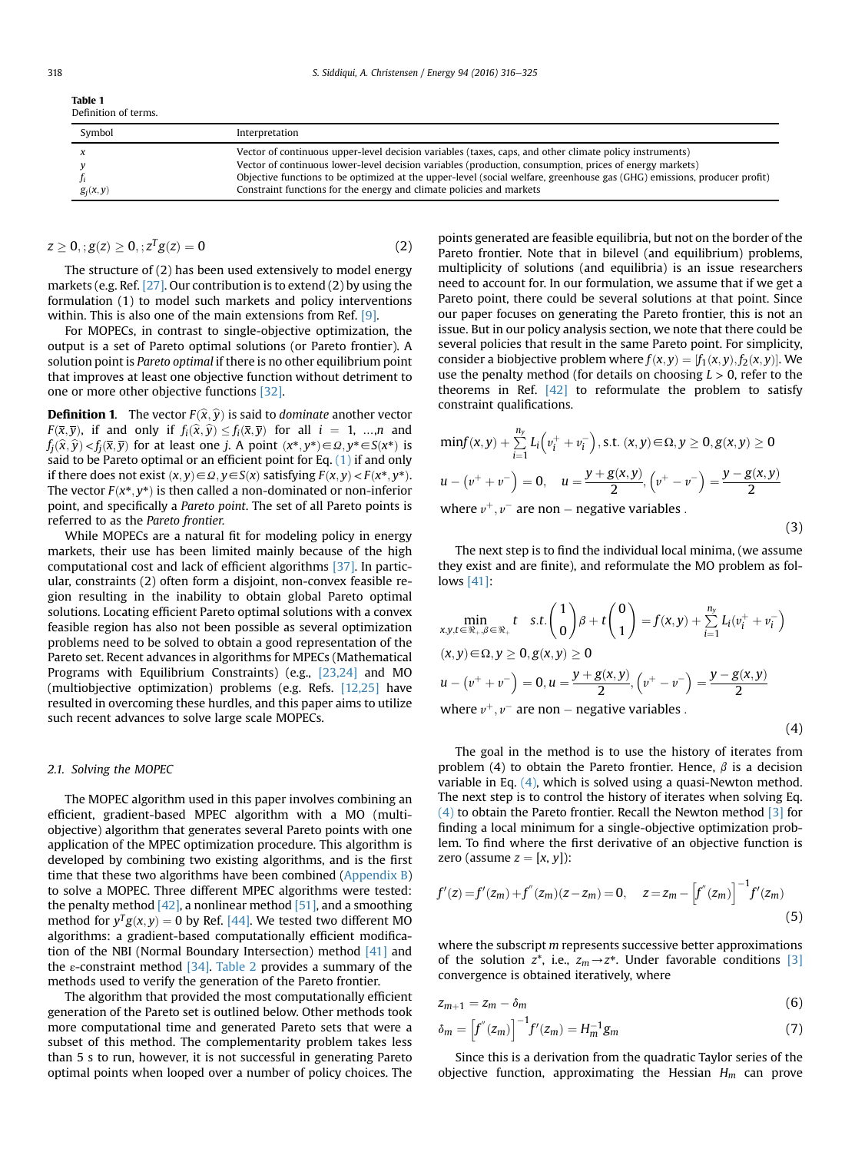<span id="page-2-0"></span>Table 1

| Definition of terms. |                                                                                                                          |
|----------------------|--------------------------------------------------------------------------------------------------------------------------|
| Symbol               | Interpretation                                                                                                           |
|                      | Vector of continuous upper-level decision variables (taxes, caps, and other climate policy instruments)                  |
|                      | Vector of continuous lower-level decision variables (production, consumption, prices of energy markets)                  |
|                      | Objective functions to be optimized at the upper-level (social welfare, greenhouse gas (GHG) emissions, producer profit) |
| $g_i(x, y)$          | Constraint functions for the energy and climate policies and markets                                                     |

$$
z \geq 0, ; g(z) \geq 0, ; z^T g(z) = 0 \tag{2}
$$

The structure of (2) has been used extensively to model energy markets (e.g. Ref. [\[27\]](#page-9-0). Our contribution is to extend (2) by using the formulation (1) to model such markets and policy interventions within. This is also one of the main extensions from Ref. [\[9\]](#page-9-0).

For MOPECs, in contrast to single-objective optimization, the output is a set of Pareto optimal solutions (or Pareto frontier). A solution point is Pareto optimal if there is no other equilibrium point that improves at least one objective function without detriment to one or more other objective functions [\[32\]](#page-9-0).

**Definition 1.** The vector  $F(\hat{x}, \hat{y})$  is said to dominate another vector  $F(\overline{x}, \overline{y})$ , if and only if  $f_i(\widehat{x}, \widehat{y}) \leq f_i(\overline{x}, \overline{y})$  for all  $i = 1, ..., n$  and  $f_i(\hat{x}, \hat{y}) < f_i(\overline{x}, \overline{y})$  for at least one j. A point  $(x^*, y^*) \in \Omega, y^* \in S(x^*)$  is said to be Pareto optimal or an efficient point for Eq. [\(1\)](#page-1-0) if and only if there does not exist  $(x, y) \in \Omega$ ,  $y \in S(x)$  satisfying  $F(x, y) < F(x^*, y^*)$ . The vector  $F(x^*, y^*)$  is then called a non-dominated or non-inferior point, and specifically a Pareto point. The set of all Pareto points is referred to as the Pareto frontier.

While MOPECs are a natural fit for modeling policy in energy markets, their use has been limited mainly because of the high computational cost and lack of efficient algorithms [\[37\]](#page-9-0). In particular, constraints (2) often form a disjoint, non-convex feasible region resulting in the inability to obtain global Pareto optimal solutions. Locating efficient Pareto optimal solutions with a convex feasible region has also not been possible as several optimization problems need to be solved to obtain a good representation of the Pareto set. Recent advances in algorithms for MPECs (Mathematical Programs with Equilibrium Constraints) (e.g., [\[23,24\]](#page-9-0) and MO (multiobjective optimization) problems (e.g. Refs. [\[12,25\]](#page-9-0) have resulted in overcoming these hurdles, and this paper aims to utilize such recent advances to solve large scale MOPECs.

### 2.1. Solving the MOPEC

The MOPEC algorithm used in this paper involves combining an efficient, gradient-based MPEC algorithm with a MO (multiobjective) algorithm that generates several Pareto points with one application of the MPEC optimization procedure. This algorithm is developed by combining two existing algorithms, and is the first time that these two algorithms have been combined [\(Appendix B\)](#page-9-0) to solve a MOPEC. Three different MPEC algorithms were tested: the penalty method  $[42]$ , a nonlinear method  $[51]$ , and a smoothing method for  $y^T g(x, y) = 0$  by Ref. [\[44\]](#page-9-0). We tested two different MO algorithms: a gradient-based computationally efficient modification of the NBI (Normal Boundary Intersection) method [\[41\]](#page-9-0) and the  $\varepsilon$ -constraint method [\[34\]](#page-9-0). [Table 2](#page-3-0) provides a summary of the methods used to verify the generation of the Pareto frontier.

The algorithm that provided the most computationally efficient generation of the Pareto set is outlined below. Other methods took more computational time and generated Pareto sets that were a subset of this method. The complementarity problem takes less than 5 s to run, however, it is not successful in generating Pareto optimal points when looped over a number of policy choices. The points generated are feasible equilibria, but not on the border of the Pareto frontier. Note that in bilevel (and equilibrium) problems, multiplicity of solutions (and equilibria) is an issue researchers need to account for. In our formulation, we assume that if we get a Pareto point, there could be several solutions at that point. Since our paper focuses on generating the Pareto frontier, this is not an issue. But in our policy analysis section, we note that there could be several policies that result in the same Pareto point. For simplicity, consider a biobjective problem where  $f(x, y) = [f_1(x, y), f_2(x, y)]$ . We use the penalty method (for details on choosing  $I > 0$ , refer to the use the penalty method (for details on choosing  $L > 0$ , refer to the theorems in Ref.  $[42]$  to reformulate the problem to satisfy constraint qualifications.

$$
\min f(x, y) + \sum_{i=1}^{n_y} L_i \left( v_i^+ + v_i^- \right), \text{s.t. } (x, y) \in \Omega, y \ge 0, g(x, y) \ge 0
$$
\n
$$
u - \left( v^+ + v^- \right) = 0, \quad u = \frac{y + g(x, y)}{2}, \left( v^+ - v^- \right) = \frac{y - g(x, y)}{2}
$$
\n
$$
\text{where } v^+, v^- \text{ are non- negative variables.}
$$

(3)

The next step is to find the individual local minima, (we assume they exist and are finite), and reformulate the MO problem as follows [\[41\]:](#page-9-0)

$$
\min_{x,y,t \in \mathbb{R}_+,\beta \in \mathbb{R}_+} t \quad s.t. \begin{pmatrix} 1 \\ 0 \end{pmatrix} \beta + t \begin{pmatrix} 0 \\ 1 \end{pmatrix} = f(x,y) + \sum_{i=1}^{n_y} L_i(v_i^+ + v_i^-)
$$
\n
$$
(x,y) \in \Omega, y \ge 0, g(x,y) \ge 0
$$
\n
$$
u - (v^+ + v^-) = 0, u = \frac{y + g(x,y)}{2}, \left(v^+ - v^-\right) = \frac{y - g(x,y)}{2}
$$
\nwhere  $v^+$ ,  $v^-$  are non – negative variables.

(4)

The goal in the method is to use the history of iterates from problem (4) to obtain the Pareto frontier. Hence,  $\beta$  is a decision variable in Eq. (4), which is solved using a quasi-Newton method. The next step is to control the history of iterates when solving Eq.  $(4)$  to obtain the Pareto frontier. Recall the Newton method  $[3]$  for finding a local minimum for a single-objective optimization problem. To find where the first derivative of an objective function is zero (assume  $z = [x, y]$ ):

$$
f'(z) = f'(z_m) + f''(z_m)(z - z_m) = 0, \quad z = z_m - \left[f''(z_m)\right]^{-1} f'(z_m)
$$
\n(5)

where the subscript m represents successive better approximations of the solution  $z^*$ , i.e.,  $z_m \rightarrow z^*$ . Under favorable conditions [\[3\]](#page-9-0) convergence is obtained iteratively, where

$$
z_{m+1} = z_m - \delta_m \tag{6}
$$

$$
\delta_m = \left[ f''(z_m) \right]^{-1} f'(z_m) = H_m^{-1} g_m \tag{7}
$$

Since this is a derivation from the quadratic Taylor series of the objective function, approximating the Hessian  $H_m$  can prove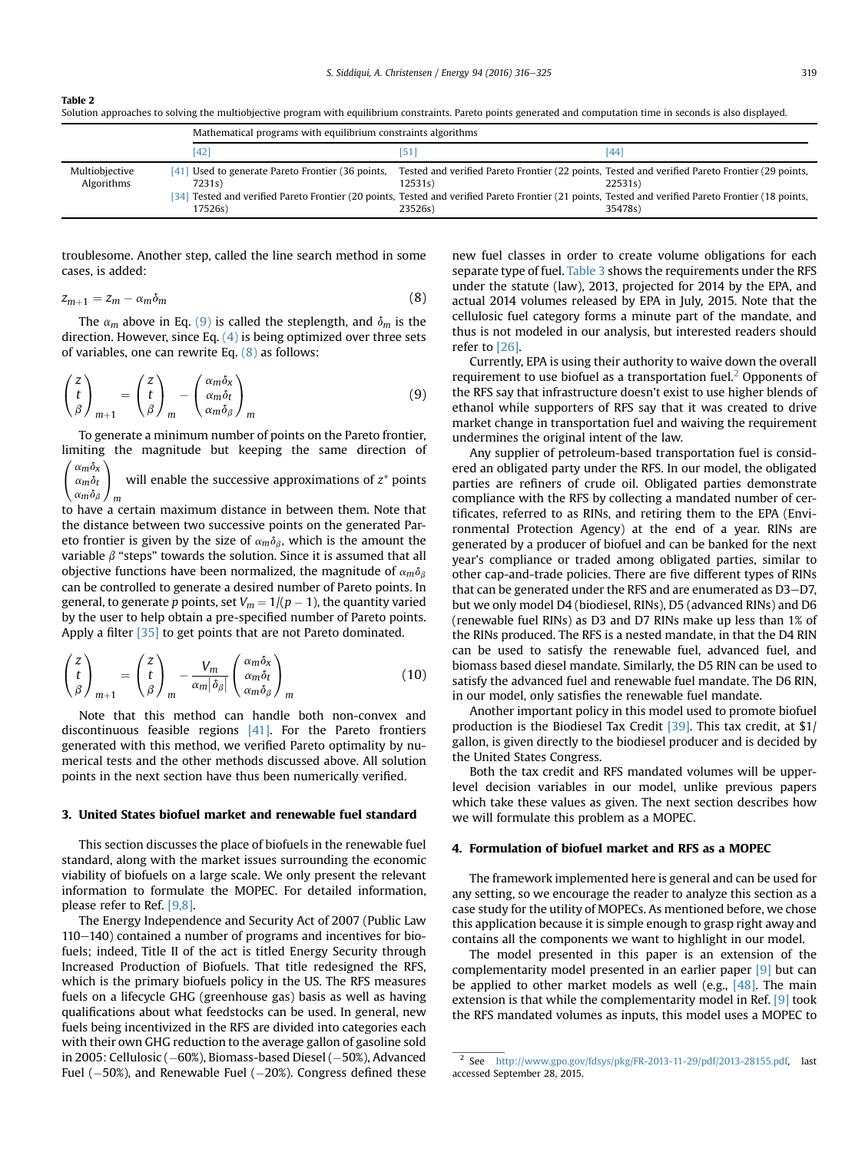<span id="page-3-0"></span>Solution approaches to solving the multiobjective program with equilibrium constraints. Pareto points generated and computation time in seconds is also displayed.

|                              |                                                                                                                                                                 | Mathematical programs with equilibrium constraints algorithms |                                                                                                           |  |  |  |
|------------------------------|-----------------------------------------------------------------------------------------------------------------------------------------------------------------|---------------------------------------------------------------|-----------------------------------------------------------------------------------------------------------|--|--|--|
|                              | 421                                                                                                                                                             | 511                                                           | [44]                                                                                                      |  |  |  |
| Multiobjective<br>Algorithms | [41] Used to generate Pareto Frontier (36 points,<br>7231s                                                                                                      | 12531s                                                        | Tested and verified Pareto Frontier (22 points, Tested and verified Pareto Frontier (29 points,<br>22531s |  |  |  |
|                              | [34] Tested and verified Pareto Frontier (20 points, Tested and verified Pareto Frontier (21 points, Tested and verified Pareto Frontier (18 points,<br>17526s) | 23526s)                                                       | 35478s)                                                                                                   |  |  |  |

troublesome. Another step, called the line search method in some cases, is added:

$$
z_{m+1} = z_m - \alpha_m \delta_m \tag{8}
$$

The  $\alpha_m$  above in Eq. (9) is called the steplength, and  $\delta_m$  is the direction. However, since Eq. [\(4\)](#page-2-0) is being optimized over three sets of variables, one can rewrite Eq. (8) as follows:

$$
\begin{pmatrix} z \\ t \\ \beta \end{pmatrix}_{m+1} = \begin{pmatrix} z \\ t \\ \beta \end{pmatrix}_m - \begin{pmatrix} \alpha_m \delta_x \\ \alpha_m \delta_t \\ \alpha_m \delta_\beta \end{pmatrix}_m \tag{9}
$$

To generate a minimum number of points on the Pareto frontier, limiting the magnitude but keeping the same direction of  $\sqrt{2}$  $\begin{pmatrix} \alpha_m \delta_x \\ \alpha_m \delta_t \\ \vdots \end{pmatrix}$ 1

 $\left(\frac{\alpha_{m} \sigma_{\beta}}{\alpha_{m} \delta_{\beta}}\right)_{m}$ will enable the successive approximations of  $z^*$  points

to have a certain maximum distance in between them. Note that the distance between two successive points on the generated Pareto frontier is given by the size of  $\alpha_m \delta_\beta$ , which is the amount the variable  $\beta$  "steps" towards the solution. Since it is assumed that all objective functions have been normalized, the magnitude of  $\alpha_m \delta_\beta$ can be controlled to generate a desired number of Pareto points. In general, to generate p points, set  $V_m = 1/(p - 1)$ , the quantity varied by the user to help obtain a pre-specified number of Pareto points. Apply a filter [\[35\]](#page-9-0) to get points that are not Pareto dominated.

$$
\begin{pmatrix} z \\ t \\ \beta \end{pmatrix}_{m+1} = \begin{pmatrix} z \\ t \\ \beta \end{pmatrix}_m - \frac{V_m}{\alpha_m |\delta_\beta|} \begin{pmatrix} \alpha_m \delta_x \\ \alpha_m \delta_t \\ \alpha_m \delta_\beta \end{pmatrix}_m \tag{10}
$$

Note that this method can handle both non-convex and discontinuous feasible regions [\[41\].](#page-9-0) For the Pareto frontiers generated with this method, we verified Pareto optimality by numerical tests and the other methods discussed above. All solution points in the next section have thus been numerically verified.

# 3. United States biofuel market and renewable fuel standard

This section discusses the place of biofuels in the renewable fuel standard, along with the market issues surrounding the economic viability of biofuels on a large scale. We only present the relevant information to formulate the MOPEC. For detailed information, please refer to Ref. [\[9,8\].](#page-9-0)

The Energy Independence and Security Act of 2007 (Public Law  $110-140$ ) contained a number of programs and incentives for biofuels; indeed, Title II of the act is titled Energy Security through Increased Production of Biofuels. That title redesigned the RFS, which is the primary biofuels policy in the US. The RFS measures fuels on a lifecycle GHG (greenhouse gas) basis as well as having qualifications about what feedstocks can be used. In general, new fuels being incentivized in the RFS are divided into categories each with their own GHG reduction to the average gallon of gasoline sold in 2005: Cellulosic ( $-60\%$ ), Biomass-based Diesel ( $-50\%$ ), Advanced Fuel  $(-50%)$ , and Renewable Fuel  $(-20%)$ . Congress defined these new fuel classes in order to create volume obligations for each separate type of fuel. [Table 3](#page-4-0) shows the requirements under the RFS under the statute (law), 2013, projected for 2014 by the EPA, and actual 2014 volumes released by EPA in July, 2015. Note that the cellulosic fuel category forms a minute part of the mandate, and thus is not modeled in our analysis, but interested readers should refer to [\[26\]](#page-9-0).

Currently, EPA is using their authority to waive down the overall requirement to use biofuel as a transportation fuel.<sup>2</sup> Opponents of the RFS say that infrastructure doesn't exist to use higher blends of ethanol while supporters of RFS say that it was created to drive market change in transportation fuel and waiving the requirement undermines the original intent of the law.

Any supplier of petroleum-based transportation fuel is considered an obligated party under the RFS. In our model, the obligated parties are refiners of crude oil. Obligated parties demonstrate compliance with the RFS by collecting a mandated number of certificates, referred to as RINs, and retiring them to the EPA (Environmental Protection Agency) at the end of a year. RINs are generated by a producer of biofuel and can be banked for the next year's compliance or traded among obligated parties, similar to other cap-and-trade policies. There are five different types of RINs that can be generated under the RFS and are enumerated as  $D3-D7$ , but we only model D4 (biodiesel, RINs), D5 (advanced RINs) and D6 (renewable fuel RINs) as D3 and D7 RINs make up less than 1% of the RINs produced. The RFS is a nested mandate, in that the D4 RIN can be used to satisfy the renewable fuel, advanced fuel, and biomass based diesel mandate. Similarly, the D5 RIN can be used to satisfy the advanced fuel and renewable fuel mandate. The D6 RIN, in our model, only satisfies the renewable fuel mandate.

Another important policy in this model used to promote biofuel production is the Biodiesel Tax Credit  $[39]$ . This tax credit, at \$1/ gallon, is given directly to the biodiesel producer and is decided by the United States Congress.

Both the tax credit and RFS mandated volumes will be upperlevel decision variables in our model, unlike previous papers which take these values as given. The next section describes how we will formulate this problem as a MOPEC.

## 4. Formulation of biofuel market and RFS as a MOPEC

The framework implemented here is general and can be used for any setting, so we encourage the reader to analyze this section as a case study for the utility of MOPECs. As mentioned before, we chose this application because it is simple enough to grasp right away and contains all the components we want to highlight in our model.

The model presented in this paper is an extension of the complementarity model presented in an earlier paper [\[9\]](#page-9-0) but can be applied to other market models as well (e.g.,  $[48]$ . The main extension is that while the complementarity model in Ref. [\[9\]](#page-9-0) took the RFS mandated volumes as inputs, this model uses a MOPEC to

<sup>2</sup> See [http://www.gpo.gov/fdsys/pkg/FR-2013-11-29/pdf/2013-28155.pdf,](http://www.gpo.gov/fdsys/pkg/FR-2013-11-29/pdf/2013-28155.pdf) last accessed September 28, 2015.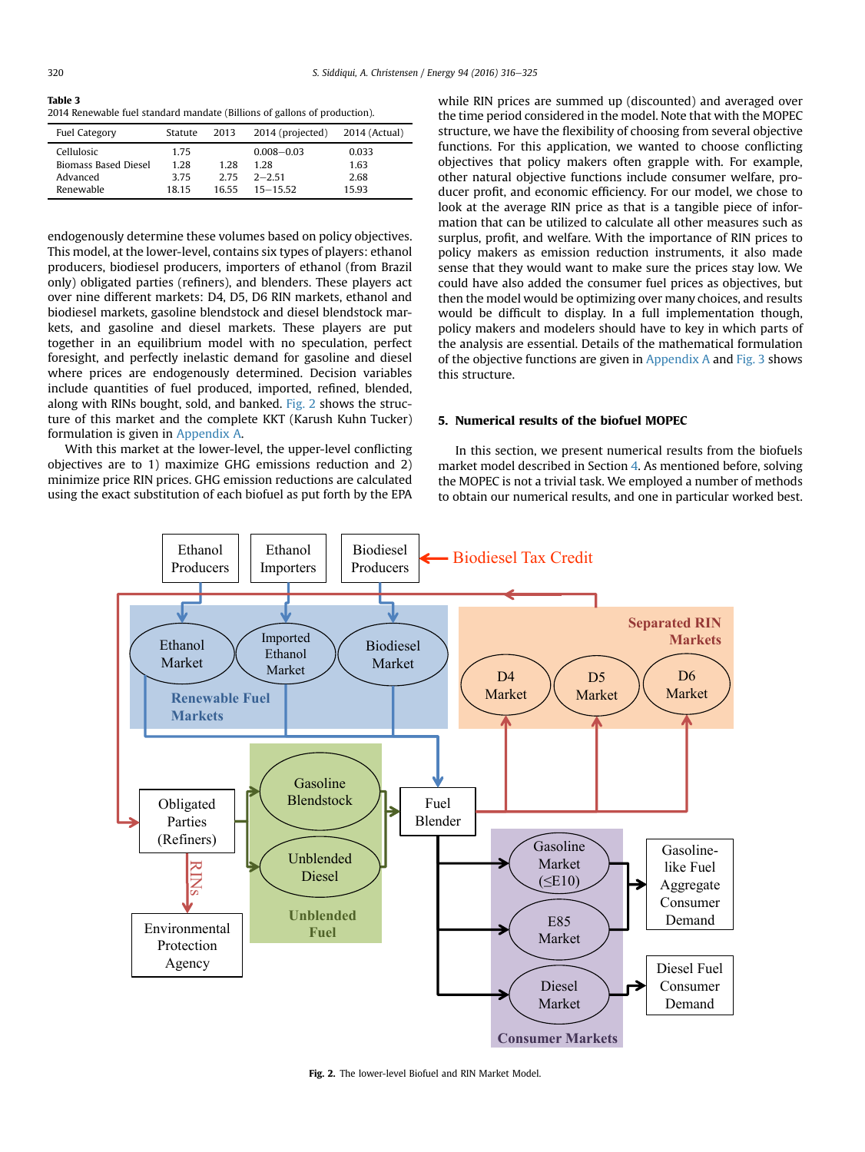<span id="page-4-0"></span>Table 3

2014 Renewable fuel standard mandate (Billions of gallons of production).

| <b>Fuel Category</b>        | Statute | 2013 | 2014 (projected) | 2014 (Actual) |
|-----------------------------|---------|------|------------------|---------------|
| <b>Cellulosic</b>           | 1.75    |      | $0.008 - 0.03$   | 0.033         |
| <b>Biomass Based Diesel</b> | 1.28    | 1.28 | 1 28             | 1.63          |
| Advanced                    | 3.75    | 2.75 | $2 - 2.51$       | 2.68          |
| Renewable                   | 1815    | 1655 | $15 - 155$       | 15.93         |
|                             |         |      |                  |               |

endogenously determine these volumes based on policy objectives. This model, at the lower-level, contains six types of players: ethanol producers, biodiesel producers, importers of ethanol (from Brazil only) obligated parties (refiners), and blenders. These players act over nine different markets: D4, D5, D6 RIN markets, ethanol and biodiesel markets, gasoline blendstock and diesel blendstock markets, and gasoline and diesel markets. These players are put together in an equilibrium model with no speculation, perfect foresight, and perfectly inelastic demand for gasoline and diesel where prices are endogenously determined. Decision variables include quantities of fuel produced, imported, refined, blended, along with RINs bought, sold, and banked. Fig. 2 shows the structure of this market and the complete KKT (Karush Kuhn Tucker) formulation is given in [Appendix A](#page-7-0).

With this market at the lower-level, the upper-level conflicting objectives are to 1) maximize GHG emissions reduction and 2) minimize price RIN prices. GHG emission reductions are calculated using the exact substitution of each biofuel as put forth by the EPA while RIN prices are summed up (discounted) and averaged over the time period considered in the model. Note that with the MOPEC structure, we have the flexibility of choosing from several objective functions. For this application, we wanted to choose conflicting objectives that policy makers often grapple with. For example, other natural objective functions include consumer welfare, producer profit, and economic efficiency. For our model, we chose to look at the average RIN price as that is a tangible piece of information that can be utilized to calculate all other measures such as surplus, profit, and welfare. With the importance of RIN prices to policy makers as emission reduction instruments, it also made sense that they would want to make sure the prices stay low. We could have also added the consumer fuel prices as objectives, but then the model would be optimizing over many choices, and results would be difficult to display. In a full implementation though, policy makers and modelers should have to key in which parts of the analysis are essential. Details of the mathematical formulation of the objective functions are given in [Appendix A](#page-7-0) and [Fig. 3](#page-5-0) shows this structure.

### 5. Numerical results of the biofuel MOPEC

In this section, we present numerical results from the biofuels market model described in Section [4](#page-3-0). As mentioned before, solving the MOPEC is not a trivial task. We employed a number of methods to obtain our numerical results, and one in particular worked best.



Fig. 2. The lower-level Biofuel and RIN Market Model.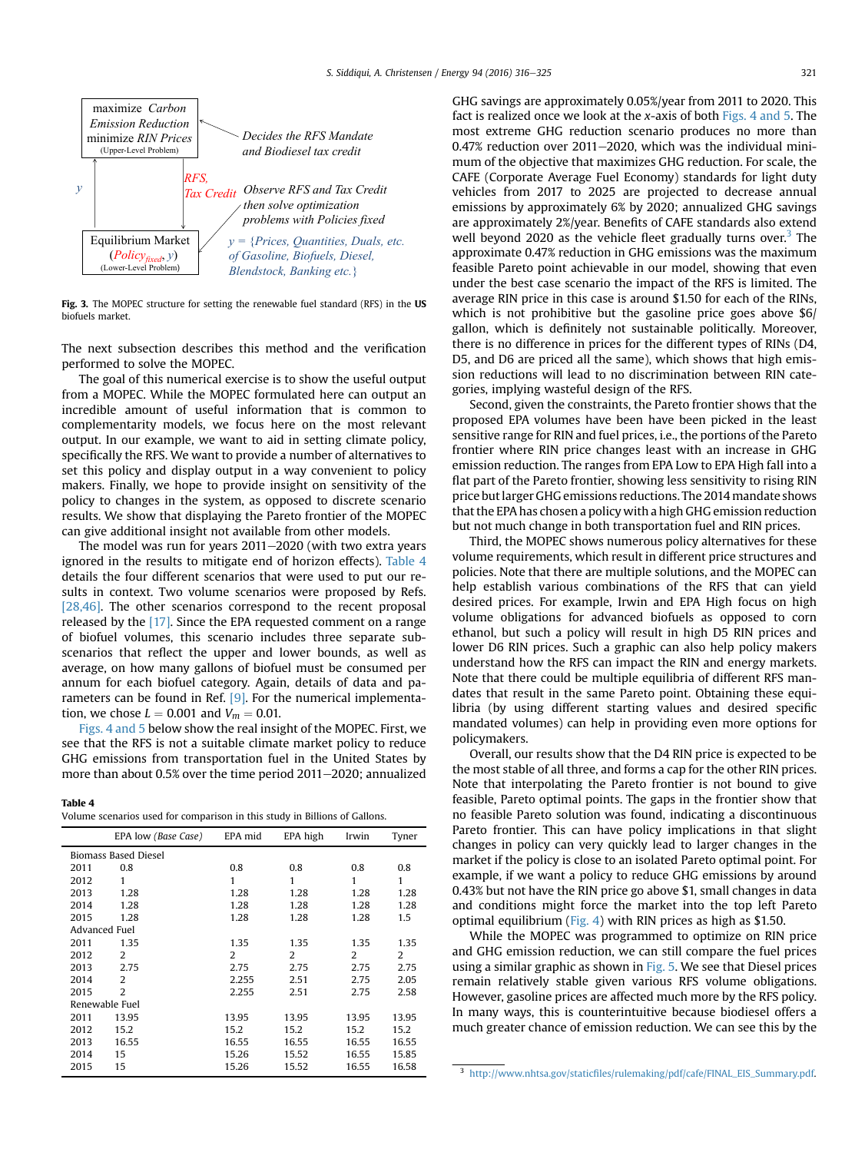<span id="page-5-0"></span>

Fig. 3. The MOPEC structure for setting the renewable fuel standard (RFS) in the US biofuels market.

The next subsection describes this method and the verification performed to solve the MOPEC.

The goal of this numerical exercise is to show the useful output from a MOPEC. While the MOPEC formulated here can output an incredible amount of useful information that is common to complementarity models, we focus here on the most relevant output. In our example, we want to aid in setting climate policy, specifically the RFS. We want to provide a number of alternatives to set this policy and display output in a way convenient to policy makers. Finally, we hope to provide insight on sensitivity of the policy to changes in the system, as opposed to discrete scenario results. We show that displaying the Pareto frontier of the MOPEC can give additional insight not available from other models.

The model was run for years  $2011-2020$  (with two extra years ignored in the results to mitigate end of horizon effects). Table 4 details the four different scenarios that were used to put our results in context. Two volume scenarios were proposed by Refs. [\[28,46\]](#page-9-0). The other scenarios correspond to the recent proposal released by the [\[17\]](#page-9-0). Since the EPA requested comment on a range of biofuel volumes, this scenario includes three separate subscenarios that reflect the upper and lower bounds, as well as average, on how many gallons of biofuel must be consumed per annum for each biofuel category. Again, details of data and parameters can be found in Ref. [\[9\].](#page-9-0) For the numerical implementation, we chose  $L = 0.001$  and  $V_m = 0.01$ .

[Figs. 4 and 5](#page-6-0) below show the real insight of the MOPEC. First, we see that the RFS is not a suitable climate market policy to reduce GHG emissions from transportation fuel in the United States by more than about 0.5% over the time period 2011-2020; annualized

#### Table 4

|  | Volume scenarios used for comparison in this study in Billions of Gallons. |  |  |  |  |  |  |
|--|----------------------------------------------------------------------------|--|--|--|--|--|--|
|  |                                                                            |  |  |  |  |  |  |

|                      | EPA low (Base Case) | EPA mid | EPA high | Irwin | Tyner |  |
|----------------------|---------------------|---------|----------|-------|-------|--|
| Biomass Based Diesel |                     |         |          |       |       |  |
| 2011                 | 0.8                 | 0.8     | 0.8      | 0.8   | 0.8   |  |
| 2012                 | 1                   | 1       | 1        | 1     | 1     |  |
| 2013                 | 1.28                | 1.28    | 1.28     | 1.28  | 1.28  |  |
| 2014                 | 1.28                | 1.28    | 1.28     | 1.28  | 1.28  |  |
| 2015                 | 1.28                | 1.28    | 1.28     | 1.28  | 1.5   |  |
| Advanced Fuel        |                     |         |          |       |       |  |
| 2011                 | 1.35                | 1.35    | 1.35     | 1.35  | 1.35  |  |
| 2012                 | 2                   | 2       | 2        | 2     | 2     |  |
| 2013                 | 2.75                | 2.75    | 2.75     | 2.75  | 2.75  |  |
| 2014                 | 2                   | 2.255   | 2.51     | 2.75  | 2.05  |  |
| 2015                 | $\overline{2}$      | 2.255   | 2.51     | 2.75  | 2.58  |  |
| Renewable Fuel       |                     |         |          |       |       |  |
| 2011                 | 13.95               | 13.95   | 13.95    | 13.95 | 13.95 |  |
| 2012                 | 15.2                | 15.2    | 15.2     | 15.2  | 15.2  |  |
| 2013                 | 16.55               | 16.55   | 16.55    | 16.55 | 16.55 |  |
| 2014                 | 15                  | 15.26   | 15.52    | 16.55 | 15.85 |  |
| 2015                 | 15                  | 15.26   | 15.52    | 16.55 | 16.58 |  |

GHG savings are approximately 0.05%/year from 2011 to 2020. This fact is realized once we look at the x-axis of both [Figs. 4 and 5.](#page-6-0) The most extreme GHG reduction scenario produces no more than  $0.47%$  reduction over 2011-2020, which was the individual minimum of the objective that maximizes GHG reduction. For scale, the CAFE (Corporate Average Fuel Economy) standards for light duty vehicles from 2017 to 2025 are projected to decrease annual emissions by approximately 6% by 2020; annualized GHG savings are approximately 2%/year. Benefits of CAFE standards also extend well beyond 2020 as the vehicle fleet gradually turns over.<sup>3</sup> The approximate 0.47% reduction in GHG emissions was the maximum feasible Pareto point achievable in our model, showing that even under the best case scenario the impact of the RFS is limited. The average RIN price in this case is around \$1.50 for each of the RINs, which is not prohibitive but the gasoline price goes above \$6/ gallon, which is definitely not sustainable politically. Moreover, there is no difference in prices for the different types of RINs (D4, D5, and D6 are priced all the same), which shows that high emission reductions will lead to no discrimination between RIN categories, implying wasteful design of the RFS.

Second, given the constraints, the Pareto frontier shows that the proposed EPA volumes have been have been picked in the least sensitive range for RIN and fuel prices, i.e., the portions of the Pareto frontier where RIN price changes least with an increase in GHG emission reduction. The ranges from EPA Low to EPA High fall into a flat part of the Pareto frontier, showing less sensitivity to rising RIN price but larger GHG emissions reductions. The 2014 mandate shows that the EPA has chosen a policy with a high GHG emission reduction but not much change in both transportation fuel and RIN prices.

Third, the MOPEC shows numerous policy alternatives for these volume requirements, which result in different price structures and policies. Note that there are multiple solutions, and the MOPEC can help establish various combinations of the RFS that can yield desired prices. For example, Irwin and EPA High focus on high volume obligations for advanced biofuels as opposed to corn ethanol, but such a policy will result in high D5 RIN prices and lower D6 RIN prices. Such a graphic can also help policy makers understand how the RFS can impact the RIN and energy markets. Note that there could be multiple equilibria of different RFS mandates that result in the same Pareto point. Obtaining these equilibria (by using different starting values and desired specific mandated volumes) can help in providing even more options for policymakers.

Overall, our results show that the D4 RIN price is expected to be the most stable of all three, and forms a cap for the other RIN prices. Note that interpolating the Pareto frontier is not bound to give feasible, Pareto optimal points. The gaps in the frontier show that no feasible Pareto solution was found, indicating a discontinuous Pareto frontier. This can have policy implications in that slight changes in policy can very quickly lead to larger changes in the market if the policy is close to an isolated Pareto optimal point. For example, if we want a policy to reduce GHG emissions by around 0.43% but not have the RIN price go above \$1, small changes in data and conditions might force the market into the top left Pareto optimal equilibrium ([Fig. 4\)](#page-6-0) with RIN prices as high as \$1.50.

While the MOPEC was programmed to optimize on RIN price and GHG emission reduction, we can still compare the fuel prices using a similar graphic as shown in  $Fig. 5$ . We see that Diesel prices remain relatively stable given various RFS volume obligations. However, gasoline prices are affected much more by the RFS policy. In many ways, this is counterintuitive because biodiesel offers a much greater chance of emission reduction. We can see this by the

 $3$  http://www.nhtsa.gov/staticfi[les/rulemaking/pdf/cafe/FINAL\\_EIS\\_Summary.pdf.](http://www.nhtsa.gov/staticfiles/rulemaking/pdf/cafe/FINAL_EIS_Summary.pdf)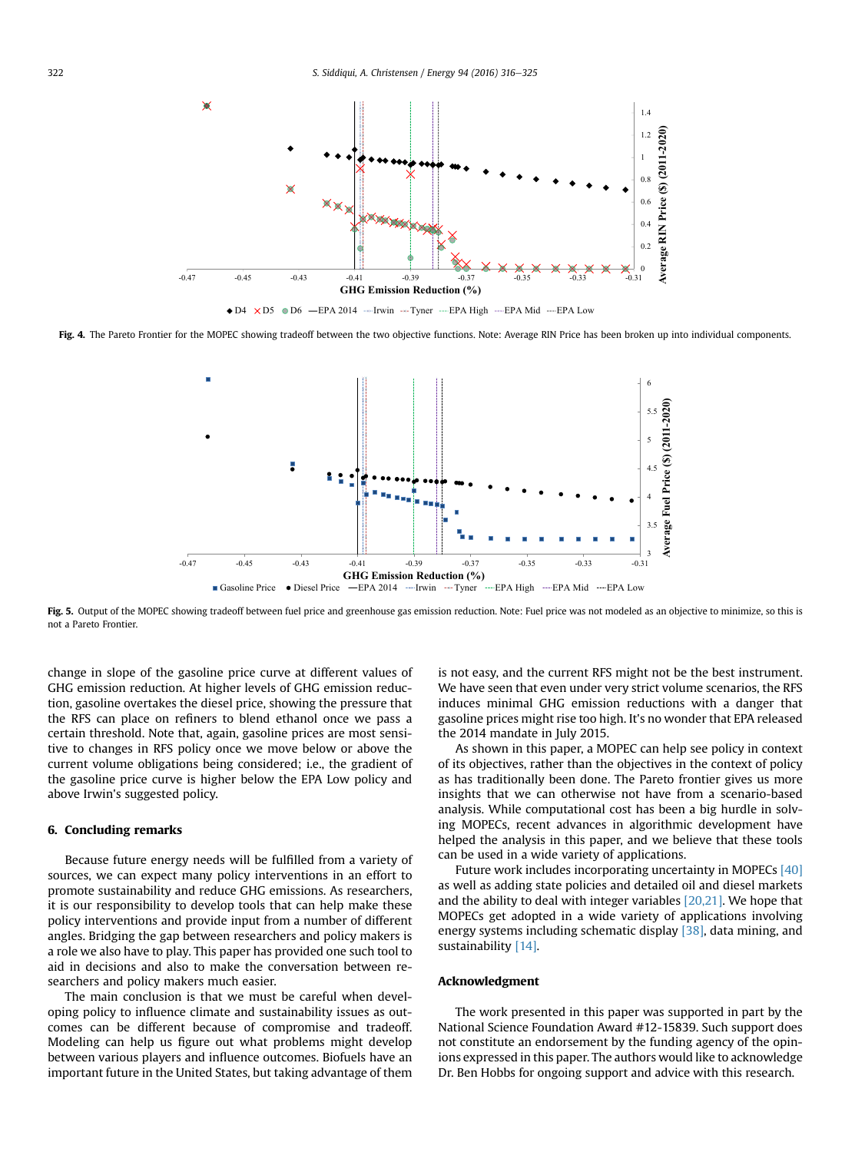<span id="page-6-0"></span>

Fig. 4. The Pareto Frontier for the MOPEC showing tradeoff between the two objective functions. Note: Average RIN Price has been broken up into individual components.



Fig. 5. Output of the MOPEC showing tradeoff between fuel price and greenhouse gas emission reduction. Note: Fuel price was not modeled as an objective to minimize, so this is not a Pareto Frontier.

change in slope of the gasoline price curve at different values of GHG emission reduction. At higher levels of GHG emission reduction, gasoline overtakes the diesel price, showing the pressure that the RFS can place on refiners to blend ethanol once we pass a certain threshold. Note that, again, gasoline prices are most sensitive to changes in RFS policy once we move below or above the current volume obligations being considered; i.e., the gradient of the gasoline price curve is higher below the EPA Low policy and above Irwin's suggested policy.

### 6. Concluding remarks

Because future energy needs will be fulfilled from a variety of sources, we can expect many policy interventions in an effort to promote sustainability and reduce GHG emissions. As researchers, it is our responsibility to develop tools that can help make these policy interventions and provide input from a number of different angles. Bridging the gap between researchers and policy makers is a role we also have to play. This paper has provided one such tool to aid in decisions and also to make the conversation between researchers and policy makers much easier.

The main conclusion is that we must be careful when developing policy to influence climate and sustainability issues as outcomes can be different because of compromise and tradeoff. Modeling can help us figure out what problems might develop between various players and influence outcomes. Biofuels have an important future in the United States, but taking advantage of them is not easy, and the current RFS might not be the best instrument. We have seen that even under very strict volume scenarios, the RFS induces minimal GHG emission reductions with a danger that gasoline prices might rise too high. It's no wonder that EPA released the 2014 mandate in July 2015.

As shown in this paper, a MOPEC can help see policy in context of its objectives, rather than the objectives in the context of policy as has traditionally been done. The Pareto frontier gives us more insights that we can otherwise not have from a scenario-based analysis. While computational cost has been a big hurdle in solving MOPECs, recent advances in algorithmic development have helped the analysis in this paper, and we believe that these tools can be used in a wide variety of applications.

Future work includes incorporating uncertainty in MOPECs [\[40\]](#page-9-0) as well as adding state policies and detailed oil and diesel markets and the ability to deal with integer variables [\[20,21\].](#page-9-0) We hope that MOPECs get adopted in a wide variety of applications involving energy systems including schematic display [\[38\],](#page-9-0) data mining, and sustainability [\[14\].](#page-9-0)

### Acknowledgment

The work presented in this paper was supported in part by the National Science Foundation Award #12-15839. Such support does not constitute an endorsement by the funding agency of the opinions expressed in this paper. The authors would like to acknowledge Dr. Ben Hobbs for ongoing support and advice with this research.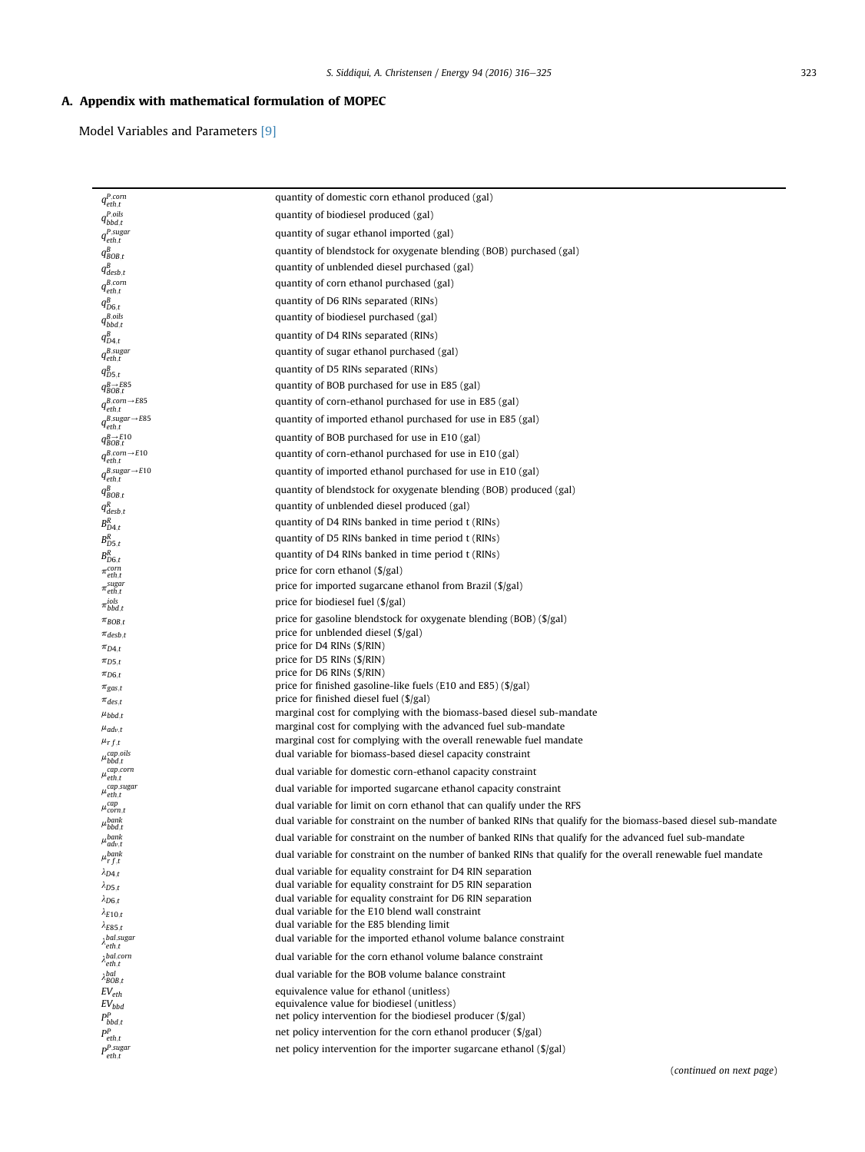# <span id="page-7-0"></span>A. Appendix with mathematical formulation of MOPEC

Model Variables and Parameters [\[9\]](#page-9-0)

| $q^{P,corn}_{eth,t}$                                  | quantity of domestic corn ethanol produced (gal)                                                                                  |
|-------------------------------------------------------|-----------------------------------------------------------------------------------------------------------------------------------|
| $q_{bbd,t}^{\rm P, oils}$                             | quantity of biodiesel produced (gal)                                                                                              |
| $q^{P, sugar}_{eth,t}$                                | quantity of sugar ethanol imported (gal)                                                                                          |
| $q_{BOB,t}^B$                                         | quantity of blendstock for oxygenate blending (BOB) purchased (gal)                                                               |
| $q_{desb,t}^B$                                        | quantity of unblended diesel purchased (gal)                                                                                      |
|                                                       | quantity of corn ethanol purchased (gal)                                                                                          |
| $q^{B,corn}_{eth,t}$                                  |                                                                                                                                   |
| $q_{D6,t}^B$                                          | quantity of D6 RINs separated (RINs)                                                                                              |
| $q_{bbd,t}^{\mathit{B, oils}}$                        | quantity of biodiesel purchased (gal)                                                                                             |
| $q_{D4,t}^B$                                          | quantity of D4 RINs separated (RINs)                                                                                              |
| $q_{eth,t}^{\rm B,sugar}$                             | quantity of sugar ethanol purchased (gal)                                                                                         |
| $q_{D5,t}^B$                                          | quantity of D5 RINs separated (RINs)                                                                                              |
| $q_{BOB,t}^{B\rightarrow E85}$                        | quantity of BOB purchased for use in E85 (gal)                                                                                    |
| $q_{eth,t}^{B,corn \rightarrow E85}$                  | quantity of corn-ethanol purchased for use in E85 (gal)                                                                           |
| $q_{eth,t}^{B,sugar \rightarrow E85}$                 | quantity of imported ethanol purchased for use in E85 (gal)                                                                       |
| $q_{BOB,t}^{B\rightarrow E10}$                        | quantity of BOB purchased for use in E10 (gal)                                                                                    |
| $q^{B,corn \rightarrow E10}_{eth,t}$                  | quantity of corn-ethanol purchased for use in E10 (gal)                                                                           |
|                                                       | quantity of imported ethanol purchased for use in E10 (gal)                                                                       |
| $q_{eth,t}^{B,sugar \rightarrow E10}$                 | quantity of blendstock for oxygenate blending (BOB) produced (gal)                                                                |
| $q_{BOB,t}^B$                                         |                                                                                                                                   |
| $q_{desb,t}^R$                                        | quantity of unblended diesel produced (gal)                                                                                       |
| $B_{D4,t}^R$                                          | quantity of D4 RINs banked in time period t (RINs)                                                                                |
| $B_{D5,t}^R$                                          | quantity of D5 RINs banked in time period t (RINs)                                                                                |
| $B_{D6,t}^R$                                          | quantity of D4 RINs banked in time period t (RINs)                                                                                |
| $\pi^{corn}_{eth, t}$                                 | price for corn ethanol (\$/gal)                                                                                                   |
| $\pi^{\text{sugar}}_{eth, t}$                         | price for imported sugarcane ethanol from Brazil (\$/gal)                                                                         |
| $\pi_{bbd,t}^{iols}$                                  | price for biodiesel fuel (\$/gal)                                                                                                 |
| $\pi_{BOB,t}$                                         | price for gasoline blendstock for oxygenate blending (BOB) (\$/gal)                                                               |
| $\pi_{\text{desb},t}$                                 | price for unblended diesel (\$/gal)                                                                                               |
| $\pi_{D4,t}$                                          | price for D4 RINs (\$/RIN)<br>price for D5 RINs (\$/RIN)                                                                          |
| $\pi_{D5,t}$<br>$\pi_{D6,t}$                          | price for D6 RINs (\$/RIN)                                                                                                        |
| $\pi_{\textit{gas},t}$                                | price for finished gasoline-like fuels (E10 and E85) (\$/gal)                                                                     |
| $\pi_{des,t}$                                         | price for finished diesel fuel (\$/gal)                                                                                           |
| $\mu_{bbd,t}$                                         | marginal cost for complying with the biomass-based diesel sub-mandate                                                             |
| $\mu_{adv,t}$                                         | marginal cost for complying with the advanced fuel sub-mandate                                                                    |
| $\mu_{rf,t}$                                          | marginal cost for complying with the overall renewable fuel mandate<br>dual variable for biomass-based diesel capacity constraint |
| $\mu_{bbd,t}^{cap, oils}$<br>cap,corn                 |                                                                                                                                   |
| $\mu_{eth,t}$                                         | dual variable for domestic corn-ethanol capacity constraint                                                                       |
| $\mu_{eth,t}^{cap,sugar}$                             | dual variable for imported sugarcane ethanol capacity constraint                                                                  |
| cap,<br>$\mu_{\text{corr},t}$                         | dual variable for limit on corn ethanol that can qualify under the RFS                                                            |
| bank,<br>$\mu_{bbd,t}^{--}$                           | dual variable for constraint on the number of banked RINs that qualify for the biomass-based diesel sub-mandate                   |
| $\mu^{bank}$<br>aav.i                                 | dual variable for constraint on the number of banked RINs that qualify for the advanced fuel sub-mandate                          |
| $\mu_{rf,t}^{bank}$                                   | dual variable for constraint on the number of banked RINs that qualify for the overall renewable fuel mandate                     |
| $\lambda_{D4,t}$                                      | dual variable for equality constraint for D4 RIN separation                                                                       |
| $\lambda_{D5,t}$                                      | dual variable for equality constraint for D5 RIN separation                                                                       |
| $\lambda_{D6,t}$                                      | dual variable for equality constraint for D6 RIN separation<br>dual variable for the E10 blend wall constraint                    |
| $\lambda_{E10,t}$<br>$\lambda_{E85,t}$                | dual variable for the E85 blending limit                                                                                          |
| $\lambda_{eth,t}^{bal,sugar}$                         | dual variable for the imported ethanol volume balance constraint                                                                  |
| , bal,corn                                            | dual variable for the corn ethanol volume balance constraint                                                                      |
| $\lambda$ <sub>eth,t</sub><br>$\lambda_{BOB,t}^{bal}$ | dual variable for the BOB volume balance constraint                                                                               |
| $EV_{eth}$                                            | equivalence value for ethanol (unitless)                                                                                          |
| $EV_{bbd}$                                            | equivalence value for biodiesel (unitless)                                                                                        |
| $P^P$<br>bbd,t                                        | net policy intervention for the biodiesel producer (\$/gal)                                                                       |
| $P^P$ .<br>eth.t                                      | net policy intervention for the corn ethanol producer (\$/gal)                                                                    |
| $P^{P,sugar}$<br>eth,t                                | net policy intervention for the importer sugarcane ethanol (\$/gal)                                                               |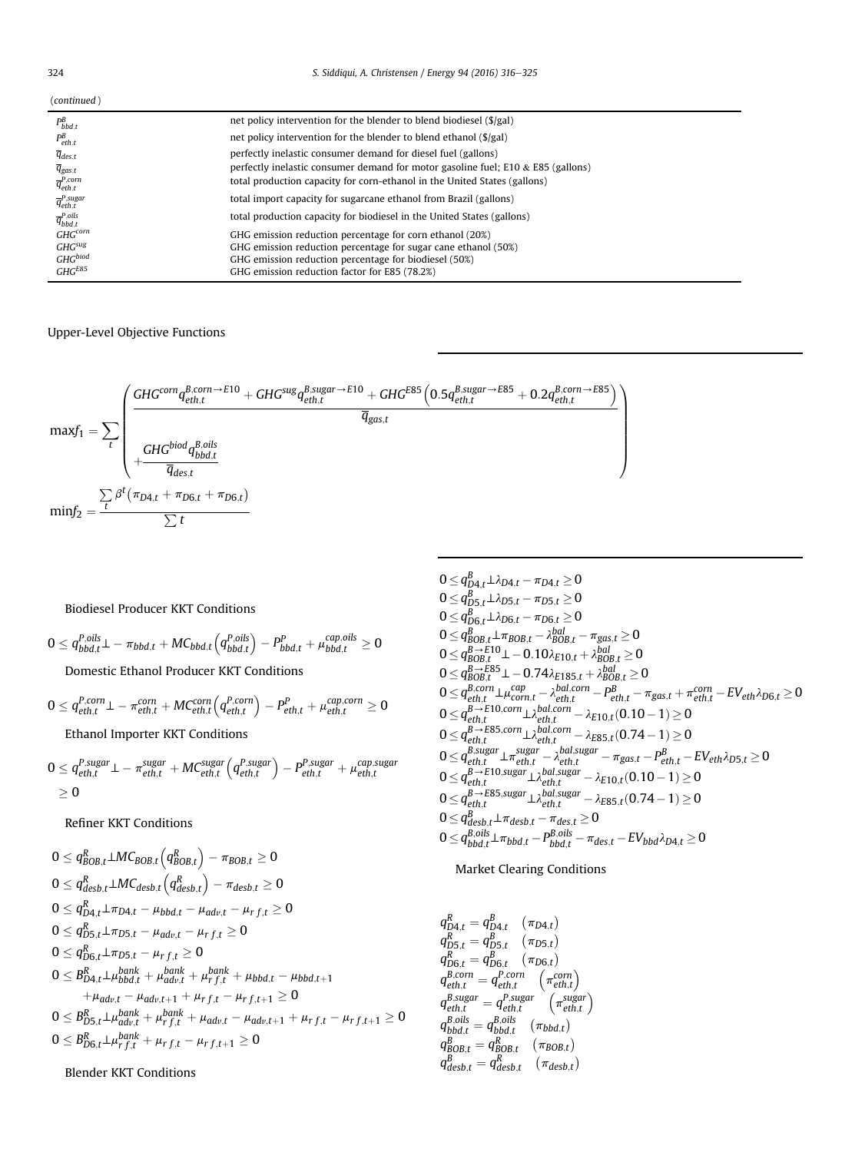| (continued) |  |  |
|-------------|--|--|
|             |  |  |

| $P^B_{bbd,t}$                    | net policy intervention for the blender to blend biodiesel (\$/gal)                 |
|----------------------------------|-------------------------------------------------------------------------------------|
| $P_{eth,t}^B$                    | net policy intervention for the blender to blend ethanol (\$/gal)                   |
| $\overline{q}_{des,t}$           | perfectly inelastic consumer demand for diesel fuel (gallons)                       |
| $q_{gas,t}$                      | perfectly inelastic consumer demand for motor gasoline fuel; $E10 \& E85$ (gallons) |
| $\overline{q}^{P,corn}_{eth, t}$ | total production capacity for corn-ethanol in the United States (gallons)           |
| $\overline{q}_{eth,t}^{P,sugar}$ | total import capacity for sugarcane ethanol from Brazil (gallons)                   |
| $\overline{q}_{bbd,t}^{P, oils}$ | (gallons) total production capacity for biodiesel in the United States (gallons)    |
| $GHG^{corn}$                     | GHG emission reduction percentage for corn ethanol (20%)                            |
| $GHG^{sug}$                      | GHG emission reduction percentage for sugar cane ethanol (50%)                      |
| GHGbiod                          | GHG emission reduction percentage for biodiesel (50%)                               |
| GHG <sup>E85</sup>               | GHG emission reduction factor for E85 (78.2%)                                       |
|                                  |                                                                                     |

# Upper-Level Objective Functions

$$
\text{max}f_1 = \sum_{t} \left( \frac{\text{GHG}^{\text{corr}}q_{\text{eth,t}}^{\text{B,corr} \rightarrow E10} + \text{GHG}^{\text{sugg}}q_{\text{eth,t}}^{\text{B, sugar} \rightarrow E10} + \text{GHG}^{\text{ESS}}\left(0.5q_{\text{eth,t}}^{\text{B, sugar} \rightarrow E85} + 0.2q_{\text{eth,t}}^{\text{B,corr} \rightarrow E85}\right)}{\overline{q}_{\text{gas,t}}} \right)
$$
\n
$$
\text{min}f_2 = \frac{\sum_{t} \beta^t \left(\pi_{D4,t} + \pi_{D6,t} + \pi_{D6,t} + \pi_{D6,t}\right)}{\sum_{t}}
$$

Biodiesel Producer KKT Conditions

$$
0 \leq q_{bbd,t}^{P, oils} \perp - \pi_{bbd,t} + MC_{bbd,t} \left( q_{bbd,t}^{P, oils} \right) - P_{bbd,t}^{P} + \mu_{bbd,t}^{cap, oils} \geq 0
$$

Domestic Ethanol Producer KKT Conditions

$$
0 \leq q_{eth,t}^{P,corr} \perp - \pi_{eth,t}^{corr} + MC_{eth,t}^{corr} \left( q_{eth,t}^{P,corr} \right) - P_{eth,t}^{P} + \mu_{eth,t}^{cap,corr} \geq 0
$$

Ethanol Importer KKT Conditions

$$
0 \leq q_{eth,t}^{P,sugar} \perp - \pi_{eth,t}^{sugar} + MC_{eth,t}^{sugar} \left( q_{eth,t}^{P,sugar} \right) - P_{eth,t}^{P,sugar} + \mu_{eth,t}^{cap,sugar} \geq 0
$$

Refiner KKT Conditions

$$
0 \leq q_{BOB,t}^{R} \perp MC_{BOB,t} (q_{BOB,t}^{R}) - \pi_{BOB,t} \geq 0
$$
  
\n
$$
0 \leq q_{desb,t}^{R} \perp MC_{desb,t} (q_{desb,t}^{R}) - \pi_{desb,t} \geq 0
$$
  
\n
$$
0 \leq q_{DA,t}^{R} \perp \pi_{DA,t} - \mu_{bbd,t} - \mu_{adv,t} - \mu_{r,f,t} \geq 0
$$
  
\n
$$
0 \leq q_{D5,t}^{R} \perp \pi_{D5,t} - \mu_{adv,t} - \mu_{r,f,t} \geq 0
$$
  
\n
$$
0 \leq q_{D6,t}^{R} \perp \pi_{D5,t} - \mu_{r,f,t} \geq 0
$$
  
\n
$$
0 \leq B_{DA,t}^{R} \perp \mu_{bbd,t}^{bank} + \mu_{bnd,t}^{bank} + \mu_{bbd,t} - \mu_{bbd,t+1}
$$
  
\n
$$
+ \mu_{adv,t} - \mu_{adv,t+1} + \mu_{r,f,t} - \mu_{r,f,t+1} \geq 0
$$
  
\n
$$
0 \leq B_{DS,t}^{R} \perp \mu_{adt,t}^{bank} + \mu_{r,f,t}^{bank} + \mu_{adv,t} - \mu_{adv,t+1} + \mu_{r,f,t} - \mu_{r,f,t+1} \geq 0
$$
  
\n
$$
0 \leq B_{DS,t}^{R} \perp \mu_{r,f,t}^{bank} + \mu_{r,f,t} - \mu_{r,f,t+1} \geq 0
$$

Blender KKT Conditions

 $0 \le q_{DA,t}^B \perp \lambda_{D4,t} - \pi_{D4,t} \ge 0$  $0 \leq q_{D5,t}^B ⊥ λ_{D5,t} - π_{D5,t} \geq 0$  $0 \leq q_{D6,t}^B ⊥ λ_{D6,t} - π_{D6,t} \geq 0$  $0 \leq q_{BOB,t}^B \perp \pi_{BOB,t} - \lambda_{BOB,t}^{bal} - \pi_{gas,t} \geq 0$  $0 \leq q_{BOB,t}^{B\to E10} \perp 0.10 \lambda_{E10,t} + \lambda_{BOB,t}^{bal} \geq 0$  $0 \leq q_{BOB,t}^{B\to E85} \perp 0.74 \lambda_{E185,t} + \lambda_{BOB,t}^{bal} \geq 0$  $0 \leq q_{eth,t}^{B,corr} \perp \mu_{corn,t}^{cap} - \lambda_{eth,t}^{bal,corr} - P_{eth,t}^{B} - \pi_{gas,t} + \pi_{eth,t}^{corr} - EV_{eth} \lambda_{D6,t} \geq 0$  $0 \leq q_{\text{eth},t}^{B \to E10,corr} \perp_{\text{eth},t}^{bal,corr} - \lambda_{E10,t}(0.10-1) \geq 0$  $0 \leq q_{\text{erh},t}^{B \to E85,corr} \perp \lambda_{\text{refh},t}^{bal,corr} - \lambda_{\text{EB5},t} (0.74-1) \geq 0$  $0 \leq q_{eth,t}^{B, sugar} \pm \pi_{eth,t}^{sugar} - \lambda_{eth,t}^{bal, sugar} - \pi_{gas,t} - P_{eth,t}^{B} - EV_{eth} \lambda_{DS,t} \geq 0$  $0 \leq q_{eth,t}^{B \to E10, sugar} \perp \lambda_{eth,t}^{bal, sugar} - \lambda_{E10,t}(0.10-1) \geq 0$  $0 \leq q_{eth,t}^{B \to E85, sugar} \perp \lambda_{eth,t}^{bal, sugar} - \lambda_{E85,t} (0.74-1) \geq 0$  $0 \leq q_{desb,t}^B \perp \pi_{desb,t} - \pi_{des,t} \geq 0$  $0 \leq q_{bbd,t}^{B,oils} \perp \pi_{bbd,t} - P_{bbd,t}^{B,oils} - \pi_{des,t} - EV_{bbd} \lambda_{D4,t} \geq 0$ 

Market Clearing Conditions

$$
\begin{array}{l} q_{DA,t}^{R}=q_{DA,t}^{B} & (\pi_{DA,t})\\ q_{DS,t}^{R}=q_{DS,t}^{B} & (\pi_{DS,t})\\ q_{D6,t}^{R}=q_{D6,t}^{B} & (\pi_{D6,t})\\ q_{eth,t}^{B,conv}=q_{eth,t}^{P,conv}\left(\pi_{eth,t}^{conv}\right)\\ q_{eth,t}^{B, sugar}=q_{eth,t}^{P, sugar}\left(\pi_{eth,t}^{sugar}\right)\\ q_{Bb}^{B,ols}=q_{Bb0,t}^{B,ols}\left(\pi_{bb,t}\right)\\ q_{B0B,t}^{B}=q_{B0B,t}^{R}\left(\pi_{B0B,t}\right)\\ q_{desb,t}^{R}=q_{desb,t}^{R}\left(\pi_{desb,t}\right)\\ \end{array}
$$